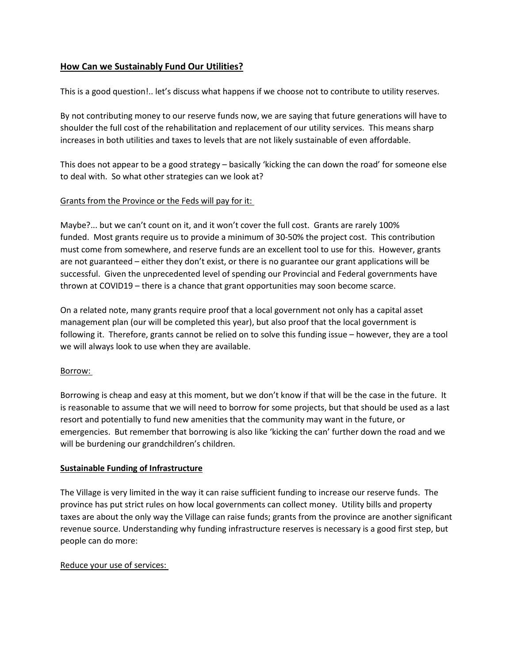# **How Can we Sustainably Fund Our Utilities?**

This is a good question!.. let's discuss what happens if we choose not to contribute to utility reserves.

By not contributing money to our reserve funds now, we are saying that future generations will have to shoulder the full cost of the rehabilitation and replacement of our utility services. This means sharp increases in both utilities and taxes to levels that are not likely sustainable of even affordable.

This does not appear to be a good strategy – basically 'kicking the can down the road' for someone else to deal with. So what other strategies can we look at?

### Grants from the Province or the Feds will pay for it:

Maybe?... but we can't count on it, and it won't cover the full cost. Grants are rarely 100% funded. Most grants require us to provide a minimum of 30-50% the project cost. This contribution must come from somewhere, and reserve funds are an excellent tool to use for this. However, grants are not guaranteed – either they don't exist, or there is no guarantee our grant applications will be successful. Given the unprecedented level of spending our Provincial and Federal governments have thrown at COVID19 – there is a chance that grant opportunities may soon become scarce.

On a related note, many grants require proof that a local government not only has a capital asset management plan (our will be completed this year), but also proof that the local government is following it. Therefore, grants cannot be relied on to solve this funding issue – however, they are a tool we will always look to use when they are available.

#### Borrow:

Borrowing is cheap and easy at this moment, but we don't know if that will be the case in the future. It is reasonable to assume that we will need to borrow for some projects, but that should be used as a last resort and potentially to fund new amenities that the community may want in the future, or emergencies. But remember that borrowing is also like 'kicking the can' further down the road and we will be burdening our grandchildren's children.

# **Sustainable Funding of Infrastructure**

The Village is very limited in the way it can raise sufficient funding to increase our reserve funds. The province has put strict rules on how local governments can collect money. Utility bills and property taxes are about the only way the Village can raise funds; grants from the province are another significant revenue source. Understanding why funding infrastructure reserves is necessary is a good first step, but people can do more:

#### Reduce your use of services: